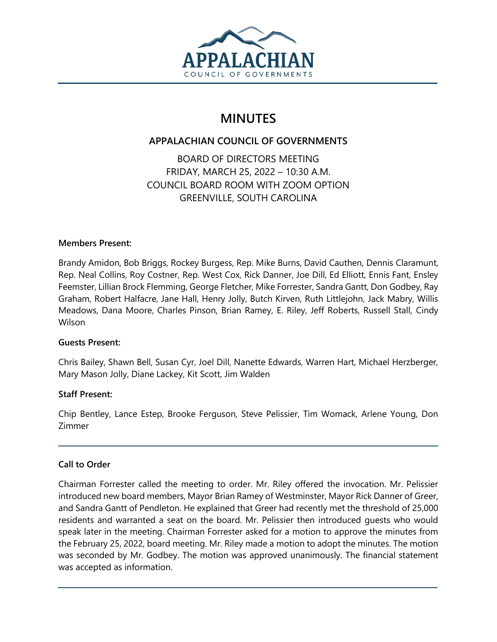

# **MINUTES**

# **APPALACHIAN COUNCIL OF GOVERNMENTS**

BOARD OF DIRECTORS MEETING FRIDAY, MARCH 25, 2022 – 10:30 A.M. COUNCIL BOARD ROOM WITH ZOOM OPTION GREENVILLE, SOUTH CAROLINA

## **Members Present:**

Brandy Amidon, Bob Briggs, Rockey Burgess, Rep. Mike Burns, David Cauthen, Dennis Claramunt, Rep. Neal Collins, Roy Costner, Rep. West Cox, Rick Danner, Joe Dill, Ed Elliott, Ennis Fant, Ensley Feemster, Lillian Brock Flemming, George Fletcher, Mike Forrester, Sandra Gantt, Don Godbey, Ray Graham, Robert Halfacre, Jane Hall, Henry Jolly, Butch Kirven, Ruth Littlejohn, Jack Mabry, Willis Meadows, Dana Moore, Charles Pinson, Brian Ramey, E. Riley, Jeff Roberts, Russell Stall, Cindy Wilson

# **Guests Present:**

Chris Bailey, Shawn Bell, Susan Cyr, Joel Dill, Nanette Edwards, Warren Hart, Michael Herzberger, Mary Mason Jolly, Diane Lackey, Kit Scott, Jim Walden

# **Staff Present:**

Chip Bentley, Lance Estep, Brooke Ferguson, Steve Pelissier, Tim Womack, Arlene Young, Don Zimmer

# **Call to Order**

Chairman Forrester called the meeting to order. Mr. Riley offered the invocation. Mr. Pelissier introduced new board members, Mayor Brian Ramey of Westminster, Mayor Rick Danner of Greer, and Sandra Gantt of Pendleton. He explained that Greer had recently met the threshold of 25,000 residents and warranted a seat on the board. Mr. Pelissier then introduced guests who would speak later in the meeting. Chairman Forrester asked for a motion to approve the minutes from the February 25, 2022, board meeting. Mr. Riley made a motion to adopt the minutes. The motion was seconded by Mr. Godbey. The motion was approved unanimously. The financial statement was accepted as information.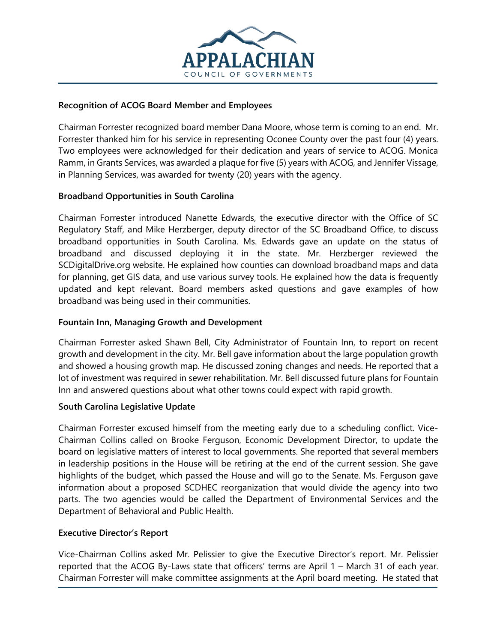

#### **Recognition of ACOG Board Member and Employees**

Chairman Forrester recognized board member Dana Moore, whose term is coming to an end. Mr. Forrester thanked him for his service in representing Oconee County over the past four (4) years. Two employees were acknowledged for their dedication and years of service to ACOG. Monica Ramm, in Grants Services, was awarded a plaque for five (5) years with ACOG, and Jennifer Vissage, in Planning Services, was awarded for twenty (20) years with the agency.

## **Broadband Opportunities in South Carolina**

Chairman Forrester introduced Nanette Edwards, the executive director with the Office of SC Regulatory Staff, and Mike Herzberger, deputy director of the SC Broadband Office, to discuss broadband opportunities in South Carolina. Ms. Edwards gave an update on the status of broadband and discussed deploying it in the state. Mr. Herzberger reviewed the SCDigitalDrive.org website. He explained how counties can download broadband maps and data for planning, get GIS data, and use various survey tools. He explained how the data is frequently updated and kept relevant. Board members asked questions and gave examples of how broadband was being used in their communities.

#### **Fountain Inn, Managing Growth and Development**

Chairman Forrester asked Shawn Bell, City Administrator of Fountain Inn, to report on recent growth and development in the city. Mr. Bell gave information about the large population growth and showed a housing growth map. He discussed zoning changes and needs. He reported that a lot of investment was required in sewer rehabilitation. Mr. Bell discussed future plans for Fountain Inn and answered questions about what other towns could expect with rapid growth.

#### **South Carolina Legislative Update**

Chairman Forrester excused himself from the meeting early due to a scheduling conflict. Vice-Chairman Collins called on Brooke Ferguson, Economic Development Director, to update the board on legislative matters of interest to local governments. She reported that several members in leadership positions in the House will be retiring at the end of the current session. She gave highlights of the budget, which passed the House and will go to the Senate. Ms. Ferguson gave information about a proposed SCDHEC reorganization that would divide the agency into two parts. The two agencies would be called the Department of Environmental Services and the Department of Behavioral and Public Health.

#### **Executive Director's Report**

Vice-Chairman Collins asked Mr. Pelissier to give the Executive Director's report. Mr. Pelissier reported that the ACOG By-Laws state that officers' terms are April 1 – March 31 of each year. Chairman Forrester will make committee assignments at the April board meeting. He stated that